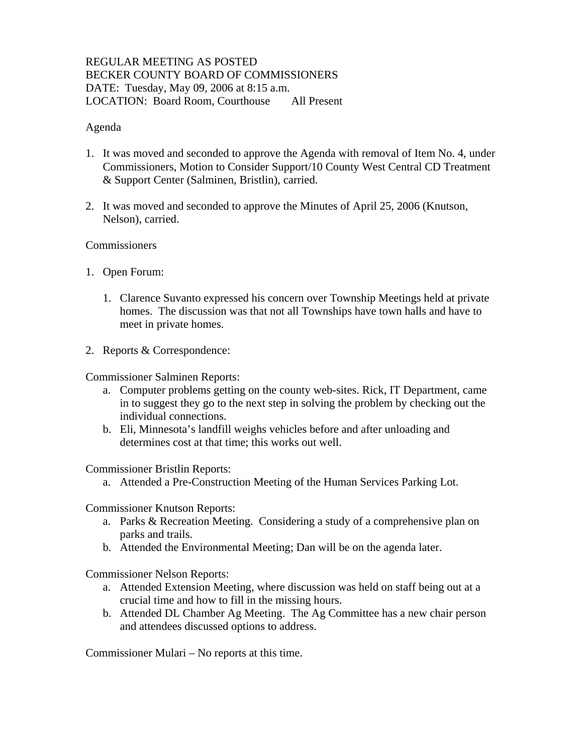### REGULAR MEETING AS POSTED BECKER COUNTY BOARD OF COMMISSIONERS DATE: Tuesday, May 09, 2006 at 8:15 a.m. LOCATION: Board Room, Courthouse All Present

### Agenda

- 1. It was moved and seconded to approve the Agenda with removal of Item No. 4, under Commissioners, Motion to Consider Support/10 County West Central CD Treatment & Support Center (Salminen, Bristlin), carried.
- 2. It was moved and seconded to approve the Minutes of April 25, 2006 (Knutson, Nelson), carried.

### **Commissioners**

- 1. Open Forum:
	- 1. Clarence Suvanto expressed his concern over Township Meetings held at private homes. The discussion was that not all Townships have town halls and have to meet in private homes.
- 2. Reports & Correspondence:

Commissioner Salminen Reports:

- a. Computer problems getting on the county web-sites. Rick, IT Department, came in to suggest they go to the next step in solving the problem by checking out the individual connections.
- b. Eli, Minnesota's landfill weighs vehicles before and after unloading and determines cost at that time; this works out well.

Commissioner Bristlin Reports:

a. Attended a Pre-Construction Meeting of the Human Services Parking Lot.

Commissioner Knutson Reports:

- a. Parks & Recreation Meeting. Considering a study of a comprehensive plan on parks and trails.
- b. Attended the Environmental Meeting; Dan will be on the agenda later.

Commissioner Nelson Reports:

- a. Attended Extension Meeting, where discussion was held on staff being out at a crucial time and how to fill in the missing hours.
- b. Attended DL Chamber Ag Meeting. The Ag Committee has a new chair person and attendees discussed options to address.

Commissioner Mulari – No reports at this time.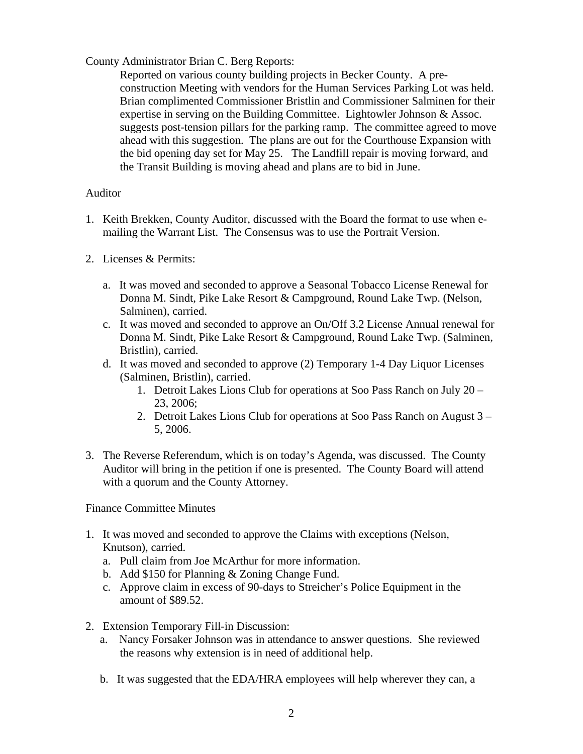# County Administrator Brian C. Berg Reports:

Reported on various county building projects in Becker County. A preconstruction Meeting with vendors for the Human Services Parking Lot was held. Brian complimented Commissioner Bristlin and Commissioner Salminen for their expertise in serving on the Building Committee. Lightowler Johnson & Assoc. suggests post-tension pillars for the parking ramp. The committee agreed to move ahead with this suggestion. The plans are out for the Courthouse Expansion with the bid opening day set for May 25. The Landfill repair is moving forward, and the Transit Building is moving ahead and plans are to bid in June.

### Auditor

- 1. Keith Brekken, County Auditor, discussed with the Board the format to use when emailing the Warrant List. The Consensus was to use the Portrait Version.
- 2. Licenses & Permits:
	- a. It was moved and seconded to approve a Seasonal Tobacco License Renewal for Donna M. Sindt, Pike Lake Resort & Campground, Round Lake Twp. (Nelson, Salminen), carried.
	- c. It was moved and seconded to approve an On/Off 3.2 License Annual renewal for Donna M. Sindt, Pike Lake Resort & Campground, Round Lake Twp. (Salminen, Bristlin), carried.
	- d. It was moved and seconded to approve (2) Temporary 1-4 Day Liquor Licenses (Salminen, Bristlin), carried.
		- 1. Detroit Lakes Lions Club for operations at Soo Pass Ranch on July 20 23, 2006;
		- 2. Detroit Lakes Lions Club for operations at Soo Pass Ranch on August 3 5, 2006.
- 3. The Reverse Referendum, which is on today's Agenda, was discussed. The County Auditor will bring in the petition if one is presented. The County Board will attend with a quorum and the County Attorney.

Finance Committee Minutes

- 1. It was moved and seconded to approve the Claims with exceptions (Nelson, Knutson), carried.
	- a. Pull claim from Joe McArthur for more information.
	- b. Add \$150 for Planning & Zoning Change Fund.
	- c. Approve claim in excess of 90-days to Streicher's Police Equipment in the amount of \$89.52.
- 2. Extension Temporary Fill-in Discussion:
	- a. Nancy Forsaker Johnson was in attendance to answer questions. She reviewed the reasons why extension is in need of additional help.
	- b. It was suggested that the EDA/HRA employees will help wherever they can, a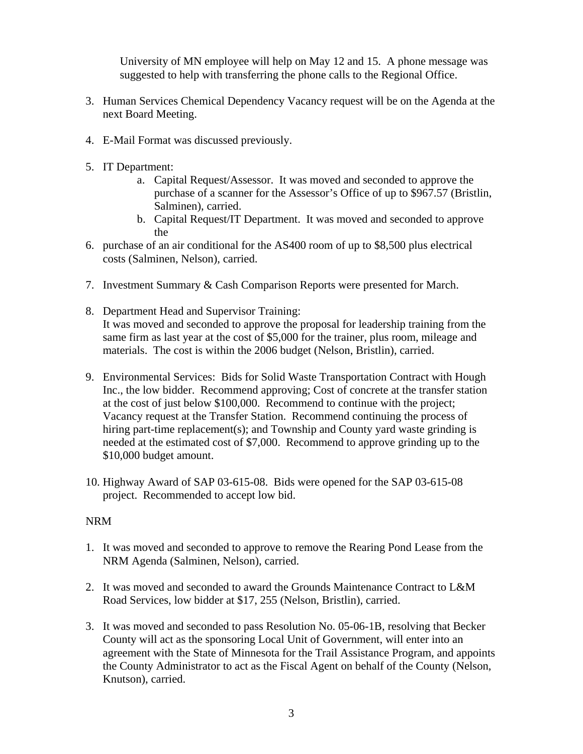University of MN employee will help on May 12 and 15. A phone message was suggested to help with transferring the phone calls to the Regional Office.

- 3. Human Services Chemical Dependency Vacancy request will be on the Agenda at the next Board Meeting.
- 4. E-Mail Format was discussed previously.
- 5. IT Department:
	- a. Capital Request/Assessor. It was moved and seconded to approve the purchase of a scanner for the Assessor's Office of up to \$967.57 (Bristlin, Salminen), carried.
	- b. Capital Request/IT Department. It was moved and seconded to approve the
- 6. purchase of an air conditional for the AS400 room of up to \$8,500 plus electrical costs (Salminen, Nelson), carried.
- 7. Investment Summary & Cash Comparison Reports were presented for March.
- 8. Department Head and Supervisor Training: It was moved and seconded to approve the proposal for leadership training from the same firm as last year at the cost of \$5,000 for the trainer, plus room, mileage and materials. The cost is within the 2006 budget (Nelson, Bristlin), carried.
- 9. Environmental Services: Bids for Solid Waste Transportation Contract with Hough Inc., the low bidder. Recommend approving; Cost of concrete at the transfer station at the cost of just below \$100,000. Recommend to continue with the project; Vacancy request at the Transfer Station. Recommend continuing the process of hiring part-time replacement(s); and Township and County yard waste grinding is needed at the estimated cost of \$7,000. Recommend to approve grinding up to the \$10,000 budget amount.
- 10. Highway Award of SAP 03-615-08. Bids were opened for the SAP 03-615-08 project. Recommended to accept low bid.

# NRM

- 1. It was moved and seconded to approve to remove the Rearing Pond Lease from the NRM Agenda (Salminen, Nelson), carried.
- 2. It was moved and seconded to award the Grounds Maintenance Contract to L&M Road Services, low bidder at \$17, 255 (Nelson, Bristlin), carried.
- 3. It was moved and seconded to pass Resolution No. 05-06-1B, resolving that Becker County will act as the sponsoring Local Unit of Government, will enter into an agreement with the State of Minnesota for the Trail Assistance Program, and appoints the County Administrator to act as the Fiscal Agent on behalf of the County (Nelson, Knutson), carried.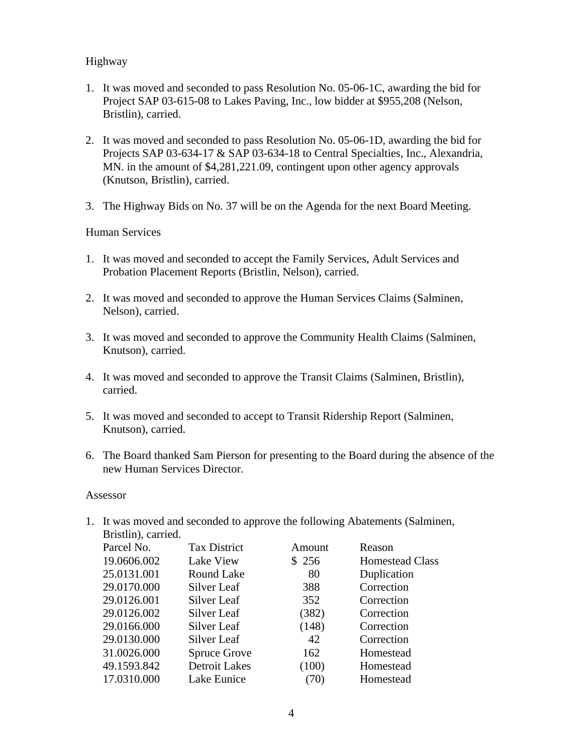## Highway

- 1. It was moved and seconded to pass Resolution No. 05-06-1C, awarding the bid for Project SAP 03-615-08 to Lakes Paving, Inc., low bidder at \$955,208 (Nelson, Bristlin), carried.
- 2. It was moved and seconded to pass Resolution No. 05-06-1D, awarding the bid for Projects SAP 03-634-17 & SAP 03-634-18 to Central Specialties, Inc., Alexandria, MN. in the amount of \$4,281,221.09, contingent upon other agency approvals (Knutson, Bristlin), carried.
- 3. The Highway Bids on No. 37 will be on the Agenda for the next Board Meeting.

### Human Services

- 1. It was moved and seconded to accept the Family Services, Adult Services and Probation Placement Reports (Bristlin, Nelson), carried.
- 2. It was moved and seconded to approve the Human Services Claims (Salminen, Nelson), carried.
- 3. It was moved and seconded to approve the Community Health Claims (Salminen, Knutson), carried.
- 4. It was moved and seconded to approve the Transit Claims (Salminen, Bristlin), carried.
- 5. It was moved and seconded to accept to Transit Ridership Report (Salminen, Knutson), carried.
- 6. The Board thanked Sam Pierson for presenting to the Board during the absence of the new Human Services Director.

### Assessor

1. It was moved and seconded to approve the following Abatements (Salminen, Bristlin), carried.<br>Parcel No. Parcel No. Tax District Amount Reason

| Parcel NO.  | TAX DISTICI          | Allioulit | reason                 |
|-------------|----------------------|-----------|------------------------|
| 19.0606.002 | Lake View            | \$256     | <b>Homestead Class</b> |
| 25.0131.001 | Round Lake           | 80        | Duplication            |
| 29.0170.000 | Silver Leaf          | 388       | Correction             |
| 29.0126.001 | Silver Leaf          | 352       | Correction             |
| 29.0126.002 | Silver Leaf          | (382)     | Correction             |
| 29.0166.000 | Silver Leaf          | (148)     | Correction             |
| 29.0130.000 | Silver Leaf          | 42        | Correction             |
| 31.0026.000 | <b>Spruce Grove</b>  | 162       | Homestead              |
| 49.1593.842 | <b>Detroit Lakes</b> | (100)     | Homestead              |
| 17.0310.000 | Lake Eunice          | (70)      | Homestead              |
|             |                      |           |                        |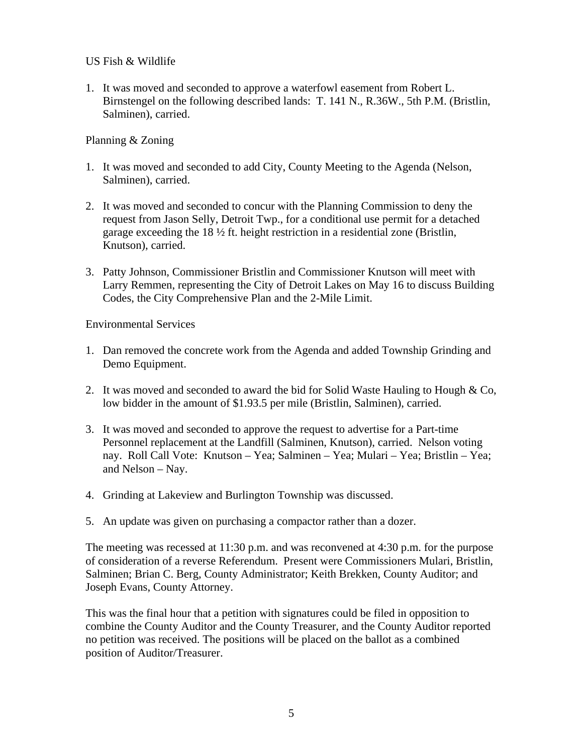### US Fish & Wildlife

1. It was moved and seconded to approve a waterfowl easement from Robert L. Birnstengel on the following described lands: T. 141 N., R.36W., 5th P.M. (Bristlin, Salminen), carried.

## Planning & Zoning

- 1. It was moved and seconded to add City, County Meeting to the Agenda (Nelson, Salminen), carried.
- 2. It was moved and seconded to concur with the Planning Commission to deny the request from Jason Selly, Detroit Twp., for a conditional use permit for a detached garage exceeding the 18 ½ ft. height restriction in a residential zone (Bristlin, Knutson), carried.
- 3. Patty Johnson, Commissioner Bristlin and Commissioner Knutson will meet with Larry Remmen, representing the City of Detroit Lakes on May 16 to discuss Building Codes, the City Comprehensive Plan and the 2-Mile Limit.

Environmental Services

- 1. Dan removed the concrete work from the Agenda and added Township Grinding and Demo Equipment.
- 2. It was moved and seconded to award the bid for Solid Waste Hauling to Hough & Co, low bidder in the amount of \$1.93.5 per mile (Bristlin, Salminen), carried.
- 3. It was moved and seconded to approve the request to advertise for a Part-time Personnel replacement at the Landfill (Salminen, Knutson), carried. Nelson voting nay. Roll Call Vote: Knutson – Yea; Salminen – Yea; Mulari – Yea; Bristlin – Yea; and Nelson – Nay.
- 4. Grinding at Lakeview and Burlington Township was discussed.
- 5. An update was given on purchasing a compactor rather than a dozer.

The meeting was recessed at 11:30 p.m. and was reconvened at 4:30 p.m. for the purpose of consideration of a reverse Referendum. Present were Commissioners Mulari, Bristlin, Salminen; Brian C. Berg, County Administrator; Keith Brekken, County Auditor; and Joseph Evans, County Attorney.

This was the final hour that a petition with signatures could be filed in opposition to combine the County Auditor and the County Treasurer, and the County Auditor reported no petition was received. The positions will be placed on the ballot as a combined position of Auditor/Treasurer.